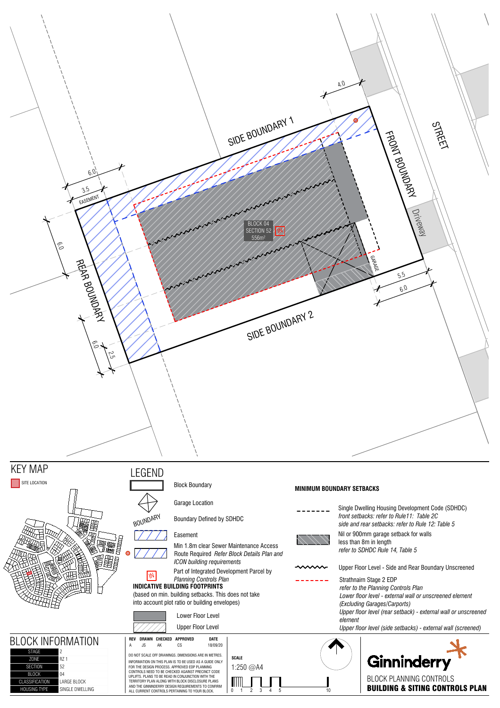